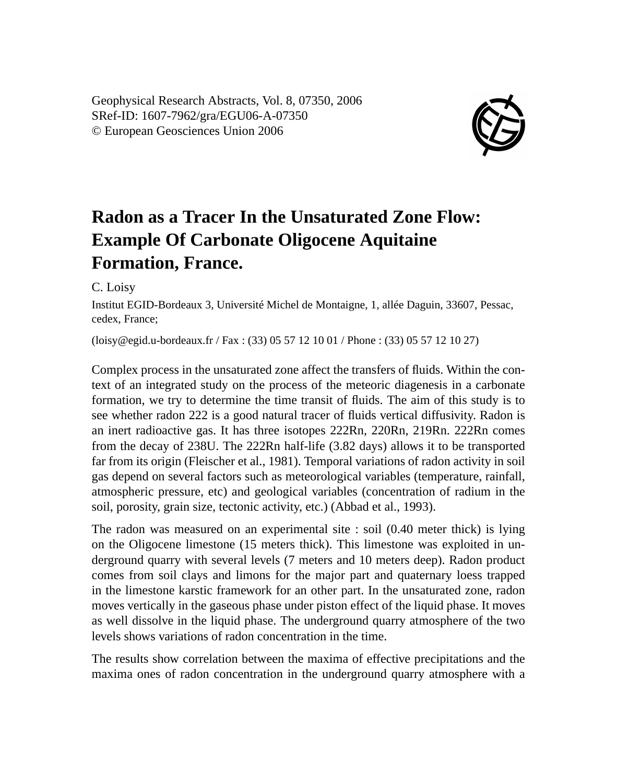Geophysical Research Abstracts, Vol. 8, 07350, 2006 SRef-ID: 1607-7962/gra/EGU06-A-07350 © European Geosciences Union 2006



## **Radon as a Tracer In the Unsaturated Zone Flow: Example Of Carbonate Oligocene Aquitaine Formation, France.**

C. Loisy

Institut EGID-Bordeaux 3, Université Michel de Montaigne, 1, allée Daguin, 33607, Pessac, cedex, France;

(loisy@egid.u-bordeaux.fr / Fax : (33) 05 57 12 10 01 / Phone : (33) 05 57 12 10 27)

Complex process in the unsaturated zone affect the transfers of fluids. Within the context of an integrated study on the process of the meteoric diagenesis in a carbonate formation, we try to determine the time transit of fluids. The aim of this study is to see whether radon 222 is a good natural tracer of fluids vertical diffusivity. Radon is an inert radioactive gas. It has three isotopes 222Rn, 220Rn, 219Rn. 222Rn comes from the decay of 238U. The 222Rn half-life (3.82 days) allows it to be transported far from its origin (Fleischer et al., 1981). Temporal variations of radon activity in soil gas depend on several factors such as meteorological variables (temperature, rainfall, atmospheric pressure, etc) and geological variables (concentration of radium in the soil, porosity, grain size, tectonic activity, etc.) (Abbad et al., 1993).

The radon was measured on an experimental site : soil (0.40 meter thick) is lying on the Oligocene limestone (15 meters thick). This limestone was exploited in underground quarry with several levels (7 meters and 10 meters deep). Radon product comes from soil clays and limons for the major part and quaternary loess trapped in the limestone karstic framework for an other part. In the unsaturated zone, radon moves vertically in the gaseous phase under piston effect of the liquid phase. It moves as well dissolve in the liquid phase. The underground quarry atmosphere of the two levels shows variations of radon concentration in the time.

The results show correlation between the maxima of effective precipitations and the maxima ones of radon concentration in the underground quarry atmosphere with a